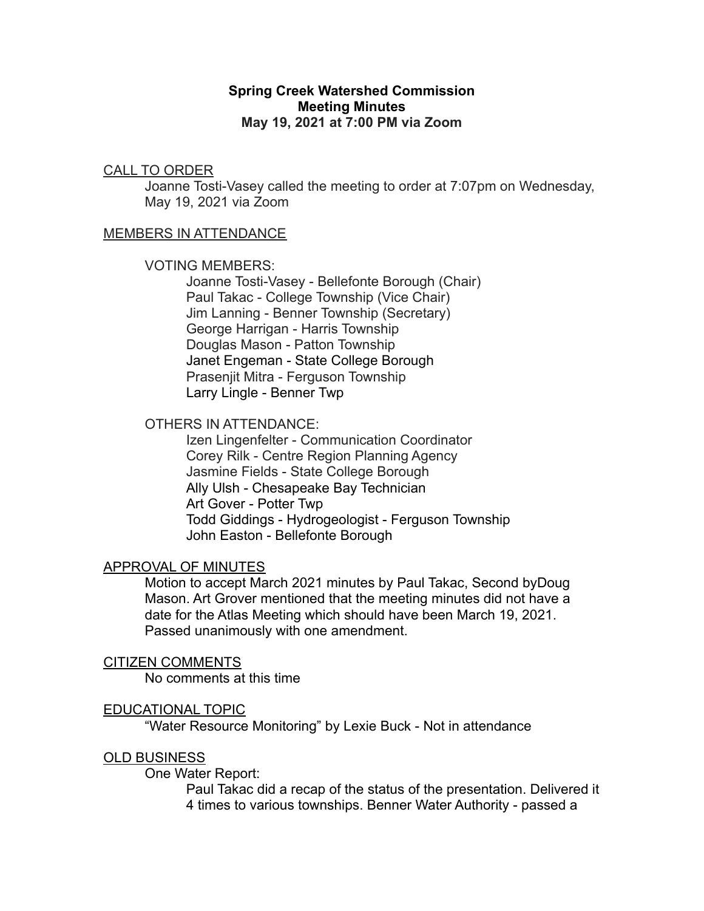## **Spring Creek Watershed Commission Meeting Minutes May 19, 2021 at 7:00 PM via Zoom**

# CALL TO ORDER

Joanne Tosti-Vasey called the meeting to order at 7:07pm on Wednesday, May 19, 2021 via Zoom

## MEMBERS IN ATTENDANCE

### VOTING MEMBERS:

Joanne Tosti-Vasey - Bellefonte Borough (Chair) Paul Takac - College Township (Vice Chair) Jim Lanning - Benner Township (Secretary) George Harrigan - Harris Township Douglas Mason - Patton Township Janet Engeman - State College Borough Prasenjit Mitra - Ferguson Township Larry Lingle - Benner Twp

## OTHERS IN ATTENDANCE:

Izen Lingenfelter - Communication Coordinator Corey Rilk - Centre Region Planning Agency Jasmine Fields - State College Borough Ally Ulsh - Chesapeake Bay Technician Art Gover - Potter Twp Todd Giddings - Hydrogeologist - Ferguson Township John Easton - Bellefonte Borough

## APPROVAL OF MINUTES

Motion to accept March 2021 minutes by Paul Takac, Second byDoug Mason. Art Grover mentioned that the meeting minutes did not have a date for the Atlas Meeting which should have been March 19, 2021. Passed unanimously with one amendment.

### CITIZEN COMMENTS

No comments at this time

## EDUCATIONAL TOPIC

"Water Resource Monitoring" by Lexie Buck - Not in attendance

### OLD BUSINESS

One Water Report:

Paul Takac did a recap of the status of the presentation. Delivered it 4 times to various townships. Benner Water Authority - passed a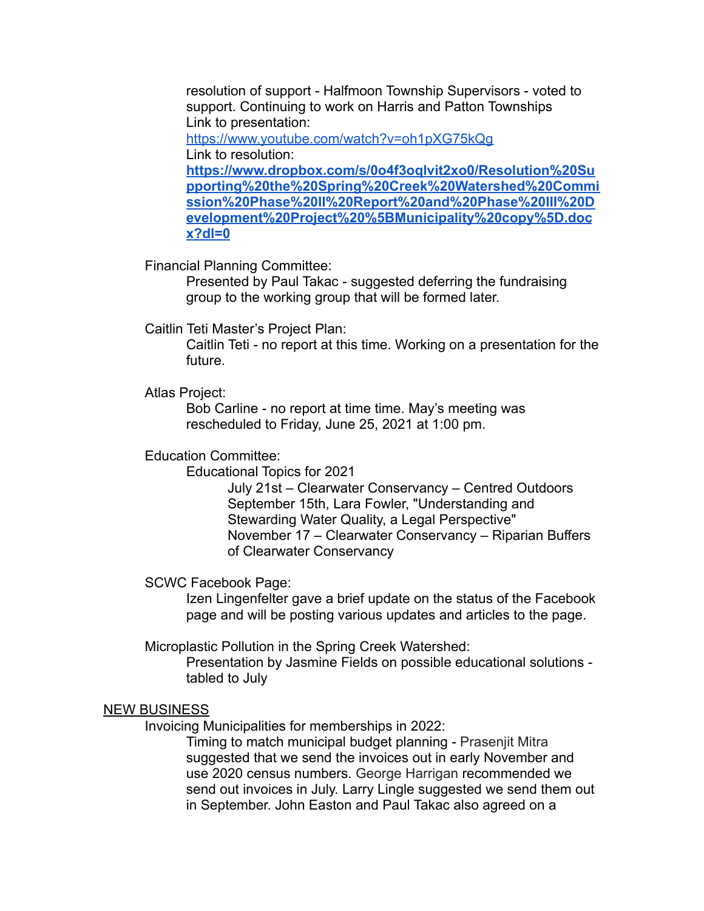resolution of support - Halfmoon Township Supervisors - voted to support. Continuing to work on Harris and Patton Townships Link to presentation:

<https://www.youtube.com/watch?v=oh1pXG75kQg> Link to resolution:

**[https://www.dropbox.com/s/0o4f3oqlvit2xo0/Resolution%20Su](https://www.dropbox.com/s/0o4f3oqlvit2xo0/Resolution%20Supporting%20the%20Spring%20Creek%20Watershed%20Commission%20Phase%20II%20Report%20and%20Phase%20III%20Development%20Project%20%5BMunicipality%20copy%5D.docx?dl=0) [pporting%20the%20Spring%20Creek%20Watershed%20Commi](https://www.dropbox.com/s/0o4f3oqlvit2xo0/Resolution%20Supporting%20the%20Spring%20Creek%20Watershed%20Commission%20Phase%20II%20Report%20and%20Phase%20III%20Development%20Project%20%5BMunicipality%20copy%5D.docx?dl=0) [ssion%20Phase%20II%20Report%20and%20Phase%20III%20D](https://www.dropbox.com/s/0o4f3oqlvit2xo0/Resolution%20Supporting%20the%20Spring%20Creek%20Watershed%20Commission%20Phase%20II%20Report%20and%20Phase%20III%20Development%20Project%20%5BMunicipality%20copy%5D.docx?dl=0) [evelopment%20Project%20%5BMunicipality%20copy%5D.doc](https://www.dropbox.com/s/0o4f3oqlvit2xo0/Resolution%20Supporting%20the%20Spring%20Creek%20Watershed%20Commission%20Phase%20II%20Report%20and%20Phase%20III%20Development%20Project%20%5BMunicipality%20copy%5D.docx?dl=0) [x?dl=0](https://www.dropbox.com/s/0o4f3oqlvit2xo0/Resolution%20Supporting%20the%20Spring%20Creek%20Watershed%20Commission%20Phase%20II%20Report%20and%20Phase%20III%20Development%20Project%20%5BMunicipality%20copy%5D.docx?dl=0)**

Financial Planning Committee:

Presented by Paul Takac - suggested deferring the fundraising group to the working group that will be formed later.

Caitlin Teti Master's Project Plan:

Caitlin Teti - no report at this time. Working on a presentation for the future.

Atlas Project:

Bob Carline - no report at time time. May's meeting was rescheduled to Friday, June 25, 2021 at 1:00 pm.

## Education Committee:

Educational Topics for 2021

July 21st – Clearwater Conservancy – Centred Outdoors September 15th, Lara Fowler, "Understanding and Stewarding Water Quality, a Legal Perspective" November 17 – Clearwater Conservancy – Riparian Buffers of Clearwater Conservancy

SCWC Facebook Page:

Izen Lingenfelter gave a brief update on the status of the Facebook page and will be posting various updates and articles to the page.

Microplastic Pollution in the Spring Creek Watershed:

Presentation by Jasmine Fields on possible educational solutions tabled to July

### NEW BUSINESS

Invoicing Municipalities for memberships in 2022:

Timing to match municipal budget planning - Prasenjit Mitra suggested that we send the invoices out in early November and use 2020 census numbers. George Harrigan recommended we send out invoices in July. Larry Lingle suggested we send them out in September. John Easton and Paul Takac also agreed on a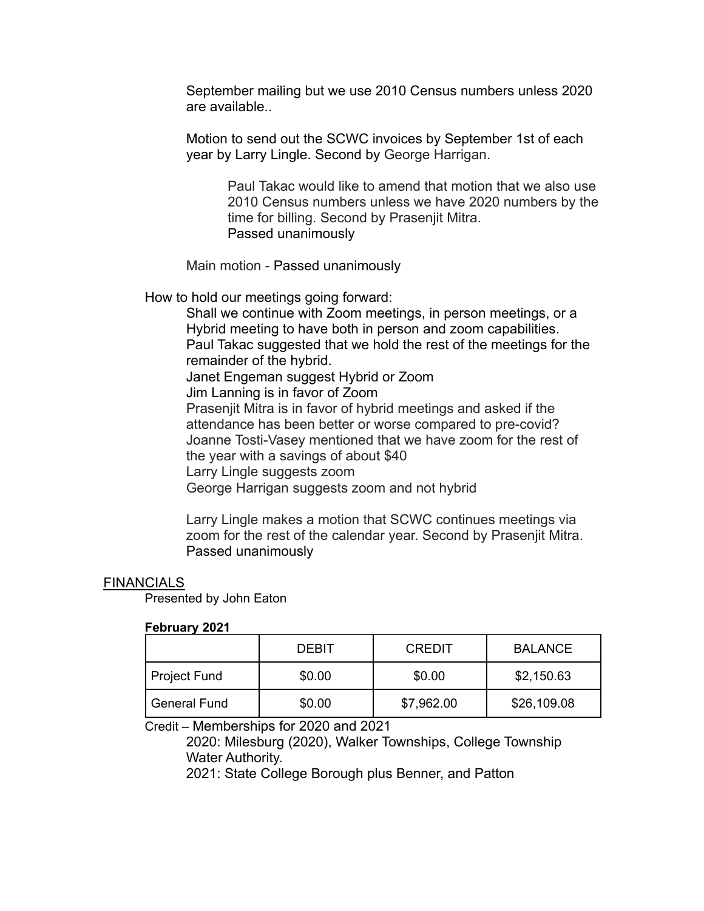September mailing but we use 2010 Census numbers unless 2020 are available..

Motion to send out the SCWC invoices by September 1st of each year by Larry Lingle. Second by George Harrigan.

> Paul Takac would like to amend that motion that we also use 2010 Census numbers unless we have 2020 numbers by the time for billing. Second by Prasenjit Mitra. Passed unanimously

Main motion - Passed unanimously

How to hold our meetings going forward:

Shall we continue with Zoom meetings, in person meetings, or a Hybrid meeting to have both in person and zoom capabilities. Paul Takac suggested that we hold the rest of the meetings for the remainder of the hybrid. Janet Engeman suggest Hybrid or Zoom Jim Lanning is in favor of Zoom Prasenjit Mitra is in favor of hybrid meetings and asked if the attendance has been better or worse compared to pre-covid? Joanne Tosti-Vasey mentioned that we have zoom for the rest of the year with a savings of about \$40 Larry Lingle suggests zoom George Harrigan suggests zoom and not hybrid

Larry Lingle makes a motion that SCWC continues meetings via zoom for the rest of the calendar year. Second by Prasenjit Mitra. Passed unanimously

## FINANCIALS

Presented by John Eaton

## **February 2021**

|              | DEBIT  | <b>CREDIT</b> | <b>BALANCE</b> |
|--------------|--------|---------------|----------------|
| Project Fund | \$0.00 | \$0.00        | \$2,150.63     |
| General Fund | \$0.00 | \$7,962.00    | \$26,109.08    |

Credit – Memberships for 2020 and 2021

2020: Milesburg (2020), Walker Townships, College Township Water Authority.

2021: State College Borough plus Benner, and Patton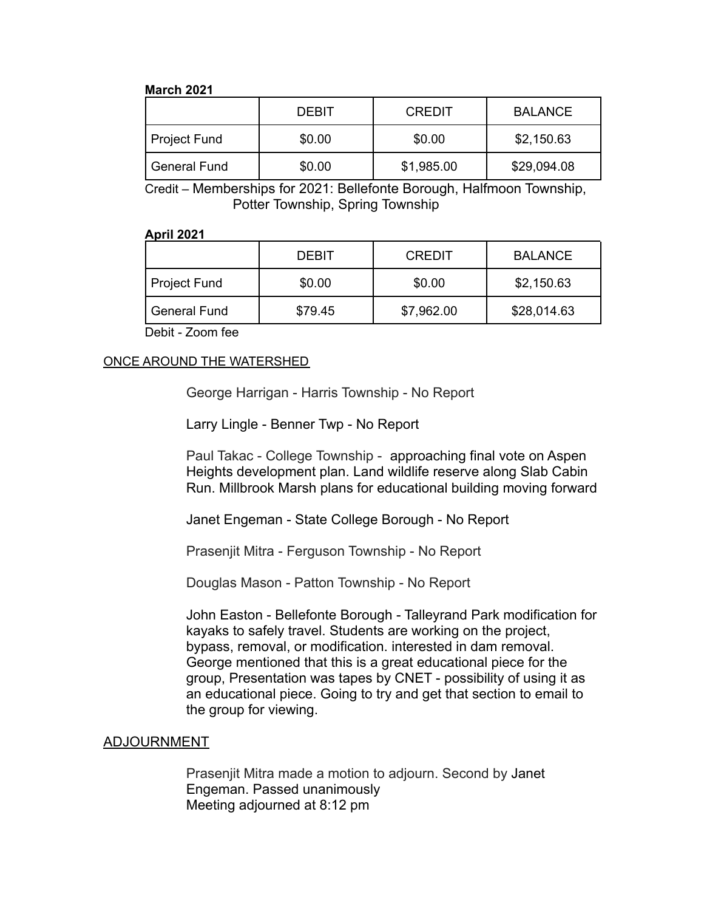#### **March 2021**

|                | <b>DEBIT</b> | <b>CREDIT</b> | <b>BALANCE</b> |
|----------------|--------------|---------------|----------------|
| Project Fund   | \$0.00       | \$0.00        | \$2,150.63     |
| l General Fund | \$0.00       | \$1,985.00    | \$29,094.08    |

Credit – Memberships for 2021: Bellefonte Borough, Halfmoon Township, Potter Township, Spring Township

### **April 2021**

|                     | <b>DEBIT</b> | <b>CREDIT</b> | <b>BALANCE</b> |
|---------------------|--------------|---------------|----------------|
| <b>Project Fund</b> | \$0.00       | \$0.00        | \$2,150.63     |
| <b>General Fund</b> | \$79.45      | \$7,962.00    | \$28,014.63    |

Debit - Zoom fee

## ONCE AROUND THE WATERSHED

George Harrigan - Harris Township - No Report

Larry Lingle - Benner Twp - No Report

Paul Takac - College Township - approaching final vote on Aspen Heights development plan. Land wildlife reserve along Slab Cabin Run. Millbrook Marsh plans for educational building moving forward

Janet Engeman - State College Borough - No Report

Prasenjit Mitra - Ferguson Township - No Report

Douglas Mason - Patton Township - No Report

John Easton - Bellefonte Borough - Talleyrand Park modification for kayaks to safely travel. Students are working on the project, bypass, removal, or modification. interested in dam removal. George mentioned that this is a great educational piece for the group, Presentation was tapes by CNET - possibility of using it as an educational piece. Going to try and get that section to email to the group for viewing.

## ADJOURNMENT

Prasenjit Mitra made a motion to adjourn. Second by Janet Engeman. Passed unanimously Meeting adjourned at 8:12 pm